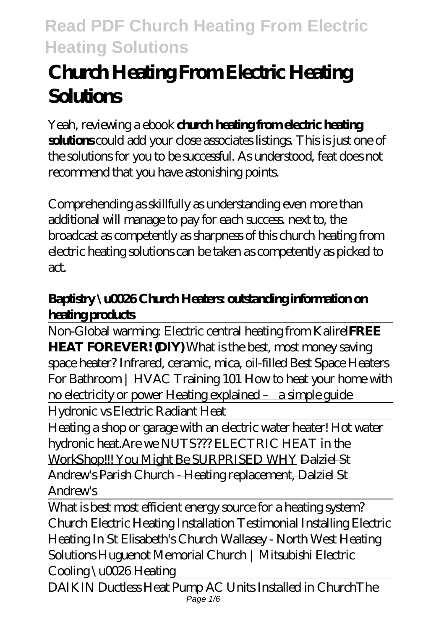# **Church Heating From Electric Heating Solutions**

Yeah, reviewing a ebook **church heating from electric heating solutions** could add your close associates listings. This is just one of the solutions for you to be successful. As understood, feat does not recommend that you have astonishing points.

Comprehending as skillfully as understanding even more than additional will manage to pay for each success. next to, the broadcast as competently as sharpness of this church heating from electric heating solutions can be taken as competently as picked to act.

### **Baptistry \u0026 Church Heaters: outstanding information on heating products**

Non-Global warming: Electric central heating from Kalirel**FREE HEAT FOREVER! (DIY)** *What is the best, most money saving space heater? Infrared, ceramic, mica, oil-filled Best Space Heaters For Bathroom | HVAC Training 101* How to heat your home with no electricity or power Heating explained – a simple guide

Hydronic vs Electric Radiant Heat

Heating a shop or garage with an electric water heater! Hot water hydronic heat.Are we NUTS??? ELECTRIC HEAT in the WorkShop!!! You Might Be SURPRISED WHY Dalziel St Andrew's Parish Church - Heating replacement, Dalziel St Andrew's

What is best most efficient energy source for a heating system? *Church Electric Heating Installation Testimonial Installing Electric Heating In St Elisabeth's Church Wallasey - North West Heating Solutions Huguenot Memorial Church | Mitsubishi Electric Cooling \u0026 Heating*

DAIKIN Ductless Heat Pump AC Units Installed in Church*The*  $Pa\bar{a}e$  1/6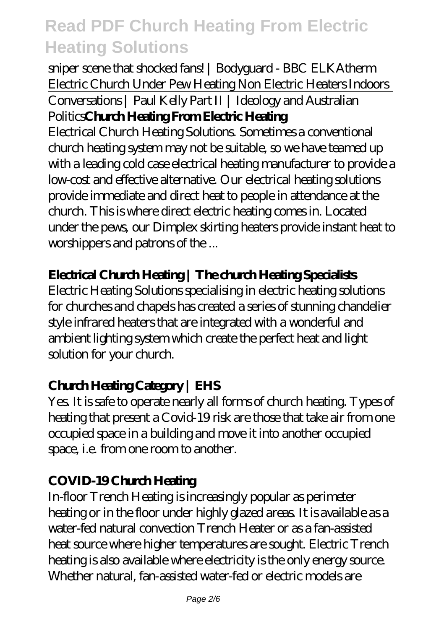#### *sniper scene that shocked fans! | Bodyguard - BBC ELKAtherm Electric Church Under Pew Heating Non Electric Heaters Indoors* Conversations | Paul Kelly Part II | Ideology and Australian

## Politics**Church Heating From Electric Heating**

Electrical Church Heating Solutions. Sometimes a conventional church heating system may not be suitable, so we have teamed up with a leading cold case electrical heating manufacturer to provide a low-cost and effective alternative. Our electrical heating solutions provide immediate and direct heat to people in attendance at the church. This is where direct electric heating comes in. Located under the pews, our Dimplex skirting heaters provide instant heat to worshippers and patrons of the ...

### **Electrical Church Heating | The church Heating Specialists**

Electric Heating Solutions specialising in electric heating solutions for churches and chapels has created a series of stunning chandelier style infrared heaters that are integrated with a wonderful and ambient lighting system which create the perfect heat and light solution for your church.

### **Church Heating Category | EHS**

Yes. It is safe to operate nearly all forms of church heating. Types of heating that present a Covid-19 risk are those that take air from one occupied space in a building and move it into another occupied space, i.e. from one room to another.

### **COVID-19 Church Heating**

In-floor Trench Heating is increasingly popular as perimeter heating or in the floor under highly glazed areas. It is available as a water-fed natural convection Trench Heater or as a fan-assisted heat source where higher temperatures are sought. Electric Trench heating is also available where electricity is the only energy source. Whether natural, fan-assisted water-fed or electric models are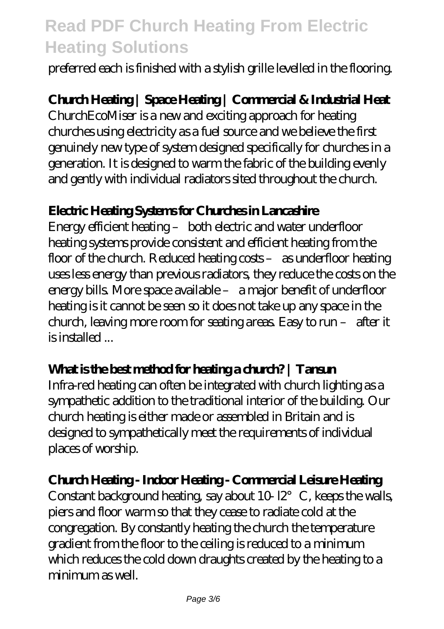preferred each is finished with a stylish grille levelled in the flooring.

### **Church Heating | Space Heating | Commercial & Industrial Heat**

ChurchEcoMiser is a new and exciting approach for heating churches using electricity as a fuel source and we believe the first genuinely new type of system designed specifically for churches in a generation. It is designed to warm the fabric of the building evenly and gently with individual radiators sited throughout the church.

#### **Electric Heating Systems for Churches in Lancashire**

Energy efficient heating – both electric and water underfloor heating systems provide consistent and efficient heating from the floor of the church. Reduced heating costs – as underfloor heating uses less energy than previous radiators, they reduce the costs on the energy bills. More space available – a major benefit of underfloor heating is it cannot be seen so it does not take up any space in the church, leaving more room for seating areas. Easy to run – after it is installed ...

#### **What is the best method for heating a church? | Tansun**

Infra-red heating can often be integrated with church lighting as a sympathetic addition to the traditional interior of the building. Our church heating is either made or assembled in Britain and is designed to sympathetically meet the requirements of individual places of worship.

#### **Church Heating - Indoor Heating - Commercial Leisure Heating**

Constant background heating, say about  $10-12^\circ$  C, keeps the walls, piers and floor warm so that they cease to radiate cold at the congregation. By constantly heating the church the temperature gradient from the floor to the ceiling is reduced to a minimum which reduces the cold down draughts created by the heating to a minimum as well.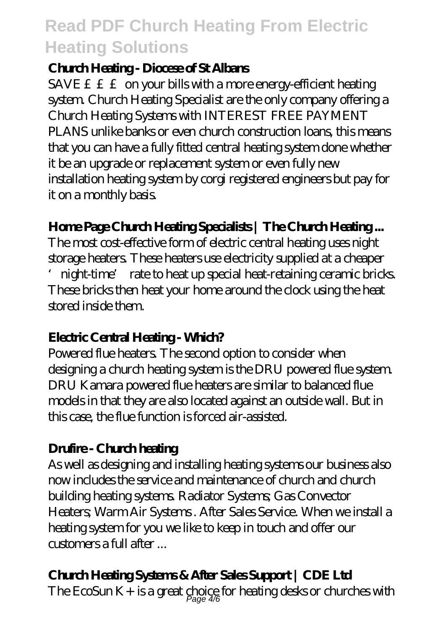#### **Church Heating - Diocese of St Albans**

SAVE  $E \nsubseteq E$  on your bills with a more energy-efficient heating system. Church Heating Specialist are the only company offering a Church Heating Systems with INTEREST FREE PAYMENT PLANS unlike banks or even church construction loans, this means that you can have a fully fitted central heating system done whether it be an upgrade or replacement system or even fully new installation heating system by corgi registered engineers but pay for it on a monthly basis.

### **Home Page Church Heating Specialists | The Church Heating ...**

The most cost-effective form of electric central heating uses night storage heaters. These heaters use electricity supplied at a cheaper 'night-time' rate to heat up special heat-retaining ceramic bricks. These bricks then heat your home around the clock using the heat stored inside them.

### **Electric Central Heating - Which?**

Powered flue heaters. The second option to consider when designing a church heating system is the DRU powered flue system. DRU Kamara powered flue heaters are similar to balanced flue models in that they are also located against an outside wall. But in this case, the flue function is forced air-assisted.

### **Drufire - Church heating**

As well as designing and installing heating systems our business also now includes the service and maintenance of church and church building heating systems. Radiator Systems; Gas Convector Heaters; Warm Air Systems . After Sales Service. When we install a heating system for you we like to keep in touch and offer our customers a full after ...

### **Church Heating Systems & After Sales Support | CDE Ltd**

The EcoSun K + is a great choice for heating desks or churches with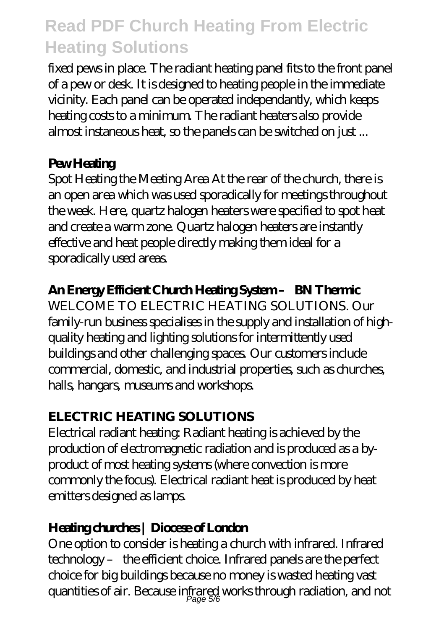fixed pews in place. The radiant heating panel fits to the front panel of a pew or desk. It is designed to heating people in the immediate vicinity. Each panel can be operated independantly, which keeps heating costs to a minimum. The radiant heaters also provide almost instaneous heat, so the panels can be switched on just ...

### **PewHeating**

Spot Heating the Meeting Area At the rear of the church, there is an open area which was used sporadically for meetings throughout the week. Here, quartz halogen heaters were specified to spot heat and create a warm zone. Quartz halogen heaters are instantly effective and heat people directly making them ideal for a sporadically used areas.

### **An Energy Efficient Church Heating System – BN Thermic**

WELCOME TO ELECTRIC HEATING SOLUTIONS. Our family-run business specialises in the supply and installation of highquality heating and lighting solutions for intermittently used buildings and other challenging spaces. Our customers include commercial, domestic, and industrial properties, such as churches, halls, hangars, museums and workshops.

### **ELECTRIC HEATING SOLUTIONS**

Electrical radiant heating: Radiant heating is achieved by the production of electromagnetic radiation and is produced as a byproduct of most heating systems (where convection is more commonly the focus). Electrical radiant heat is produced by heat emitters designed as lamps.

### **Heating churches | Diocese of London**

One option to consider is heating a church with infrared. Infrared technology – the efficient choice. Infrared panels are the perfect choice for big buildings because no money is wasted heating vast quantities of air. Because infrared works through radiation, and not